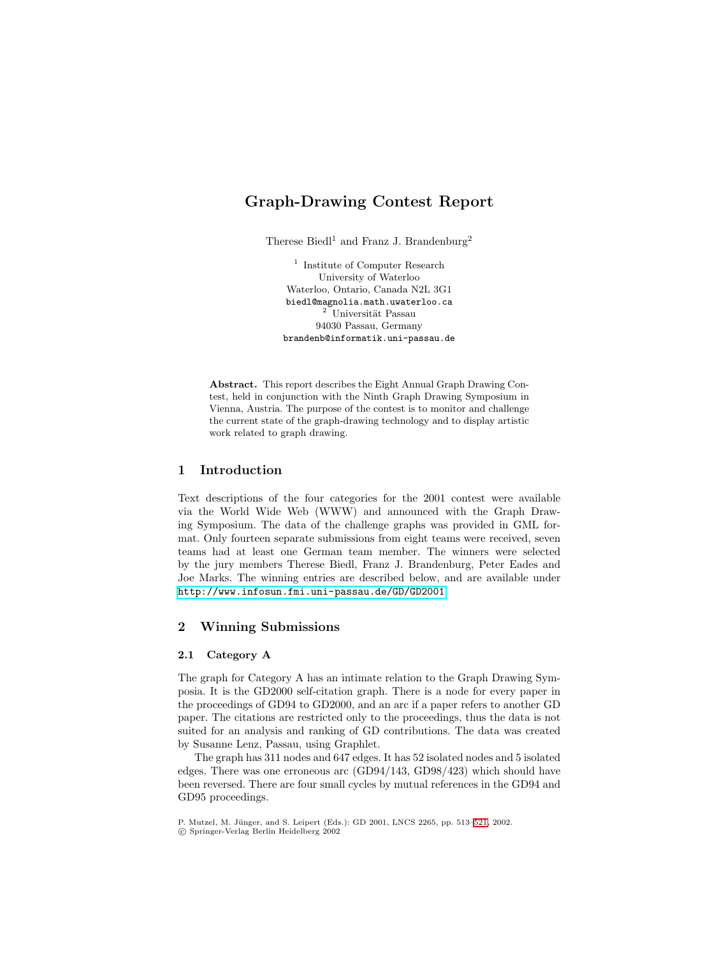# **Graph-Drawing Contest Report**

Therese Biedl<sup>1</sup> and Franz J. Brandenburg<sup>2</sup>

<sup>1</sup> Institute of Computer Research University of Waterloo Waterloo, Ontario, Canada N2L 3G1 biedl@magnolia.math.uwaterloo.ca  $2$  Universität Passau 94030 Passau, Germany brandenb@informatik.uni-passau.de

**Abstract.** This report describes the Eight Annual Graph Drawing Contest, held in conjunction with the Ninth Graph Drawing Symposium in Vienna, Austria. The purpose of the contest is to monitor and challenge the current state of the graph-drawing technology and to display artistic work related to graph drawing.

# **1 Introduction**

Text descriptions of the four categories for the 2001 contest were available via the World Wide Web (WWW) and announced with the Graph Drawing Symposium. The data of the challenge graphs was provided in GML format. Only fourteen separate submissions from eight teams were received, seven teams had at least one German team member. The winners were selected by the jury members Therese Biedl, Franz J. Brandenburg, Peter Eades and Joe Marks. The winning entries are described below, and are available under <http://www.infosun.fmi.uni-passau.de/GD/GD2001>.

# **2 Winning Submissions**

### **2.1 Category A**

The graph for Category A has an intimate relation to the Graph Drawing Symposia. It is the GD2000 self-citation graph. There is a node for every paper in the proceedings of GD94 to GD2000, and an arc if a paper refers to another GD paper. The citations are restricted only to the proceedings, thus the data is not suited for an analysis and ranking of GD contributions. The data was created by Susanne Lenz, Passau, using Graphlet.

The graph has 311 nodes and 647 edges. It has 52 isolated nodes and 5 isolated edges. There was one erroneous arc  $(GD94/143, GD98/423)$  which should have been reversed. There are four small cycles by mutual references in the GD94 and GD95 proceedings.

P. Mutzel, M. Jünger, and S. Leipert (Eds.): GD 2001, LNCS 2265, pp. 513[–521,](#page-8-0) 2002. c Springer-Verlag Berlin Heidelberg 2002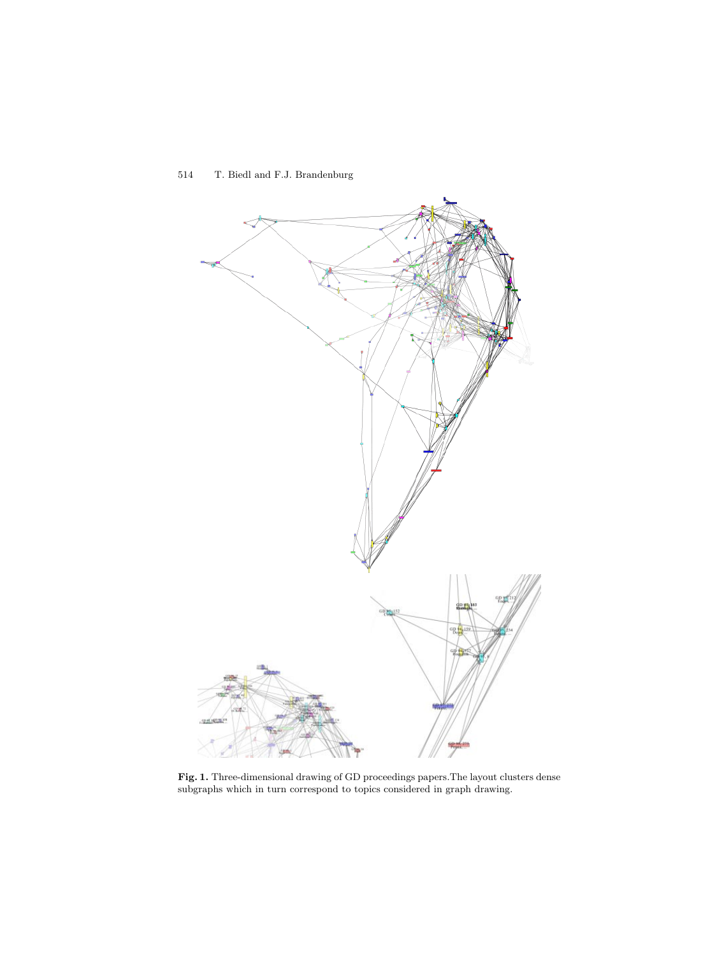<span id="page-1-0"></span>

**Fig. 1.** Three-dimensional drawing of GD proceedings papers.The layout clusters dense subgraphs which in turn correspond to topics considered in graph drawing.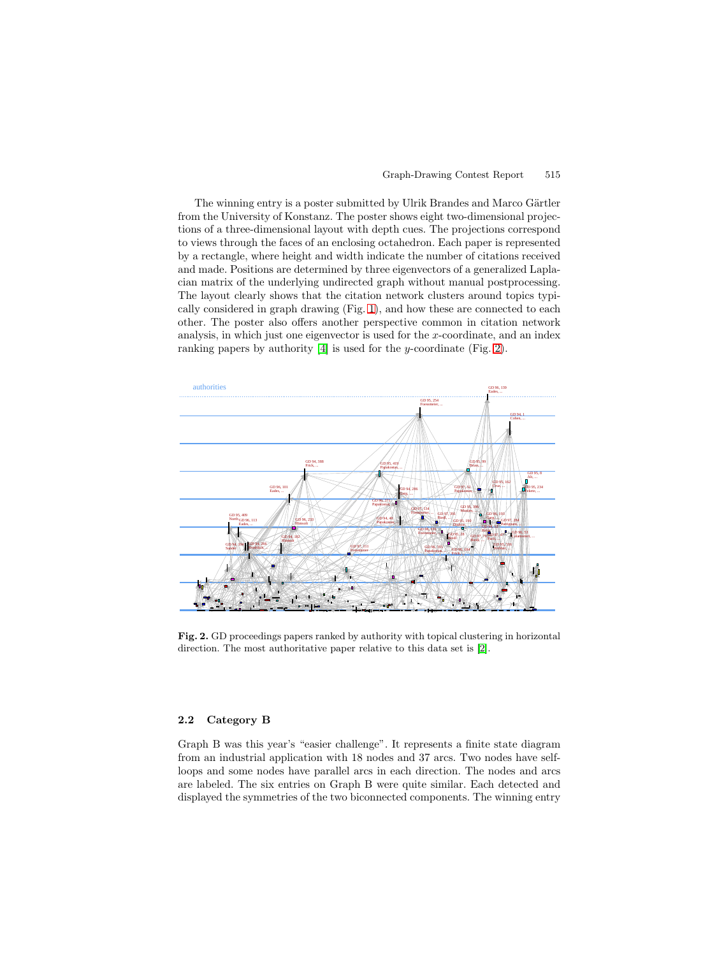The winning entry is a poster submitted by Ulrik Brandes and Marco Gärtler from the University of Konstanz. The poster shows eight two-dimensional projections of a three-dimensional layout with depth cues. The projections correspond to views through the faces of an enclosing octahedron. Each paper is represented by a rectangle, where height and width indicate the number of citations received and made. Positions are determined by three eigenvectors of a generalized Laplacian matrix of the underlying undirected graph without manual postprocessing. The layout clearly shows that the citation network clusters around topics typically considered in graph drawing (Fig. [1\)](#page-1-0), and how these are connected to each other. The poster also offers another perspective common in citation network analysis, in which just one eigenvector is used for the x-coordinate, and an index ranking papers by authority [\[4\]](#page-8-0) is used for the y-coordinate (Fig. 2).



Fig. 2. GD proceedings papers ranked by authority with topical clustering in horizontal direction. The most authoritative paper relative to this data set is [\[2\]](#page-8-0).

# **2.2 Category B**

Graph B was this year's "easier challenge". It represents a finite state diagram from an industrial application with 18 nodes and 37 arcs. Two nodes have selfloops and some nodes have parallel arcs in each direction. The nodes and arcs are labeled. The six entries on Graph B were quite similar. Each detected and displayed the symmetries of the two biconnected components. The winning entry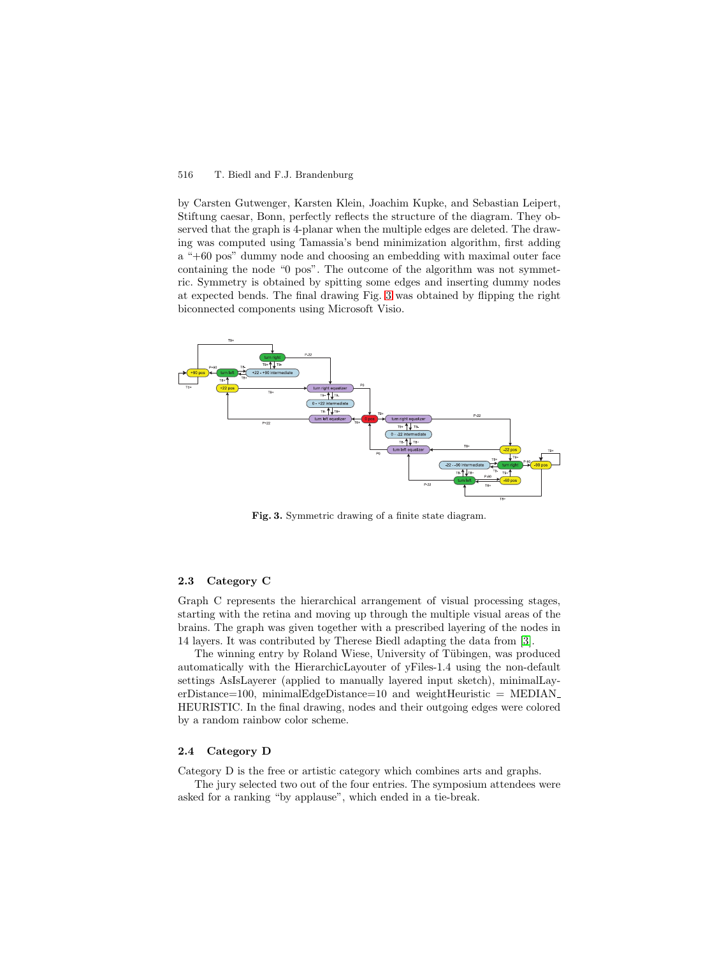# 516 T. Biedl and F.J. Brandenburg

by Carsten Gutwenger, Karsten Klein, Joachim Kupke, and Sebastian Leipert, Stiftung caesar, Bonn, perfectly reflects the structure of the diagram. They observed that the graph is 4-planar when the multiple edges are deleted. The drawing was computed using Tamassia's bend minimization algorithm, first adding a "+60 pos" dummy node and choosing an embedding with maximal outer face containing the node "0 pos". The outcome of the algorithm was not symmetric. Symmetry is obtained by spitting some edges and inserting dummy nodes at expected bends. The final drawing Fig. 3 was obtained by flipping the right biconnected components using Microsoft Visio.



**Fig. 3.** Symmetric drawing of a finite state diagram.

#### **2.3 Category C**

Graph C represents the hierarchical arrangement of visual processing stages, starting with the retina and moving up through the multiple visual areas of the brains. The graph was given together with a prescribed layering of the nodes in 14 layers. It was contributed by Therese Biedl adapting the data from [\[3\]](#page-8-0).

The winning entry by Roland Wiese, University of Tübingen, was produced automatically with the HierarchicLayouter of yFiles-1.4 using the non-default settings AsIsLayerer (applied to manually layered input sketch), minimalLayerDistance=100, minimalEdgeDistance=10 and weightHeuristic =  $\text{MEDIAN}_-$ HEURISTIC. In the final drawing, nodes and their outgoing edges were colored by a random rainbow color scheme.

#### **2.4 Category D**

Category D is the free or artistic category which combines arts and graphs.

The jury selected two out of the four entries. The symposium attendees were asked for a ranking "by applause", which ended in a tie-break.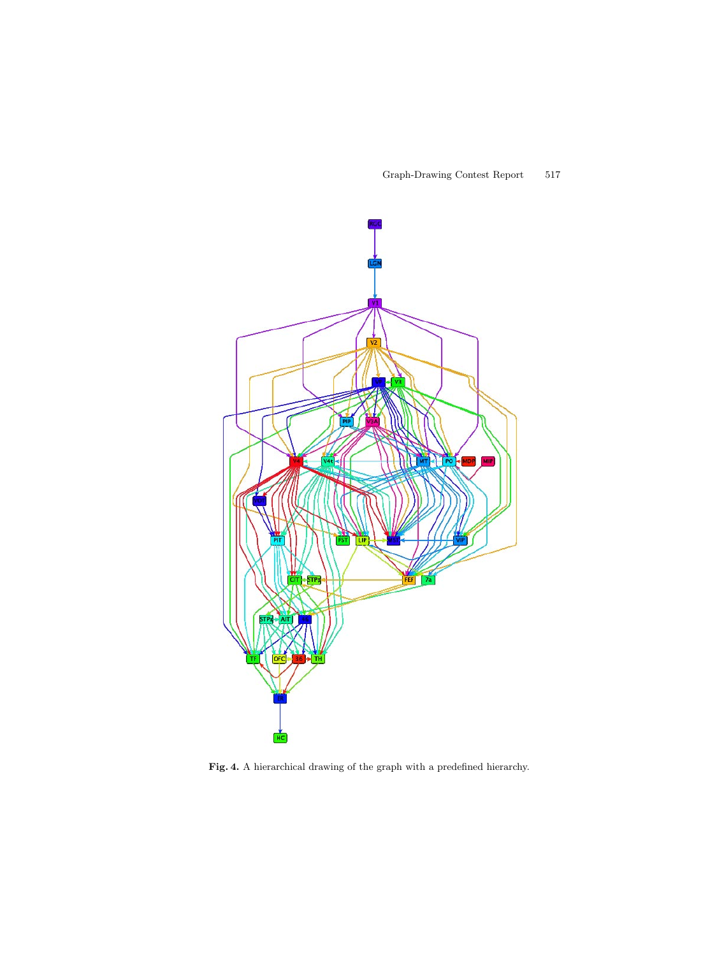

Fig. 4. A hierarchical drawing of the graph with a predefined hierarchy.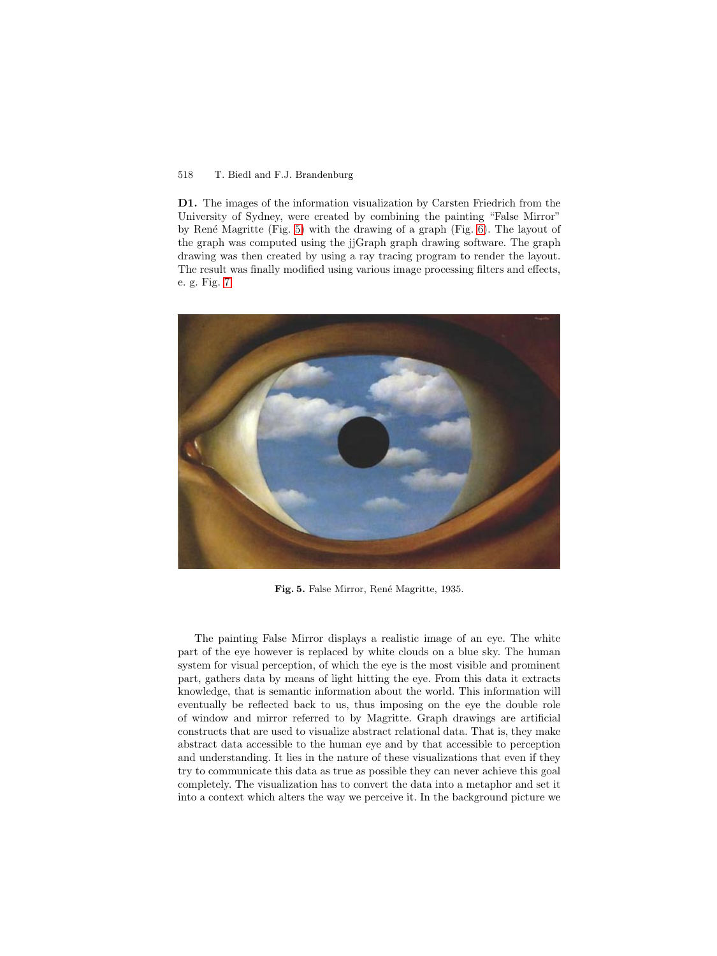# <span id="page-5-0"></span>518 T. Biedl and F.J. Brandenburg

**D1.** The images of the information visualization by Carsten Friedrich from the University of Sydney, were created by combining the painting "False Mirror" by René Magritte (Fig. 5) with the drawing of a graph (Fig. [6\)](#page-6-0). The layout of the graph was computed using the jjGraph graph drawing software. The graph drawing was then created by using a ray tracing program to render the layout. The result was finally modified using various image processing filters and effects, e. g. Fig. [7.](#page-6-0)



Fig. 5. False Mirror, René Magritte, 1935.

The painting False Mirror displays a realistic image of an eye. The white part of the eye however is replaced by white clouds on a blue sky. The human system for visual perception, of which the eye is the most visible and prominent part, gathers data by means of light hitting the eye. From this data it extracts knowledge, that is semantic information about the world. This information will eventually be reflected back to us, thus imposing on the eye the double role of window and mirror referred to by Magritte. Graph drawings are artificial constructs that are used to visualize abstract relational data. That is, they make abstract data accessible to the human eye and by that accessible to perception and understanding. It lies in the nature of these visualizations that even if they try to communicate this data as true as possible they can never achieve this goal completely. The visualization has to convert the data into a metaphor and set it into a context which alters the way we perceive it. In the background picture we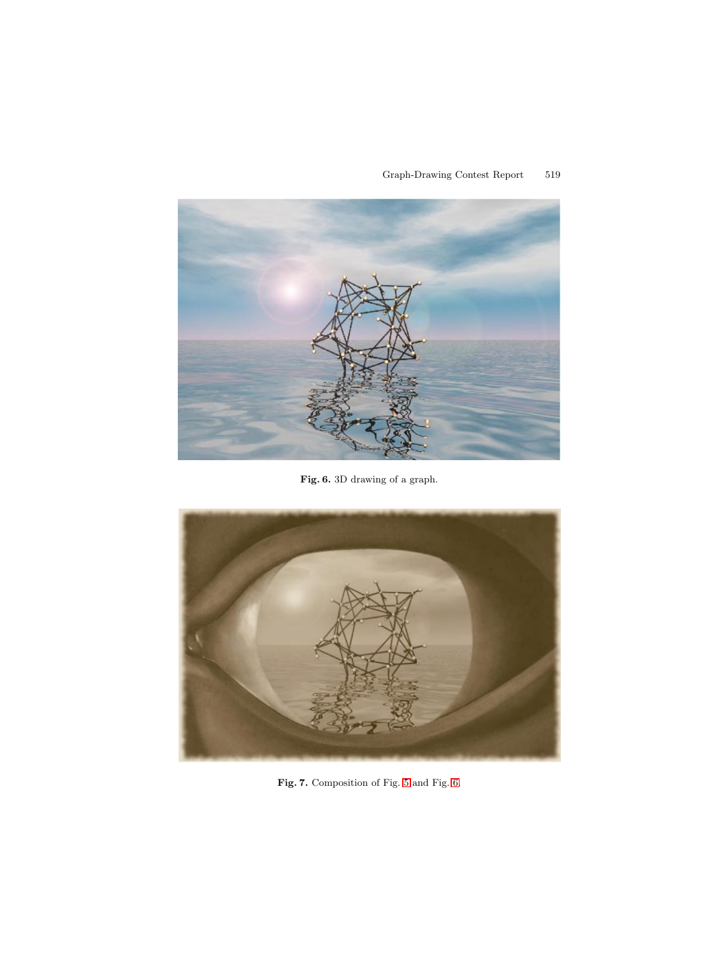<span id="page-6-0"></span>

**Fig. 6.** 3D drawing of a graph.



**Fig. 7.** Composition of Fig. [5](#page-5-0) and Fig. 6.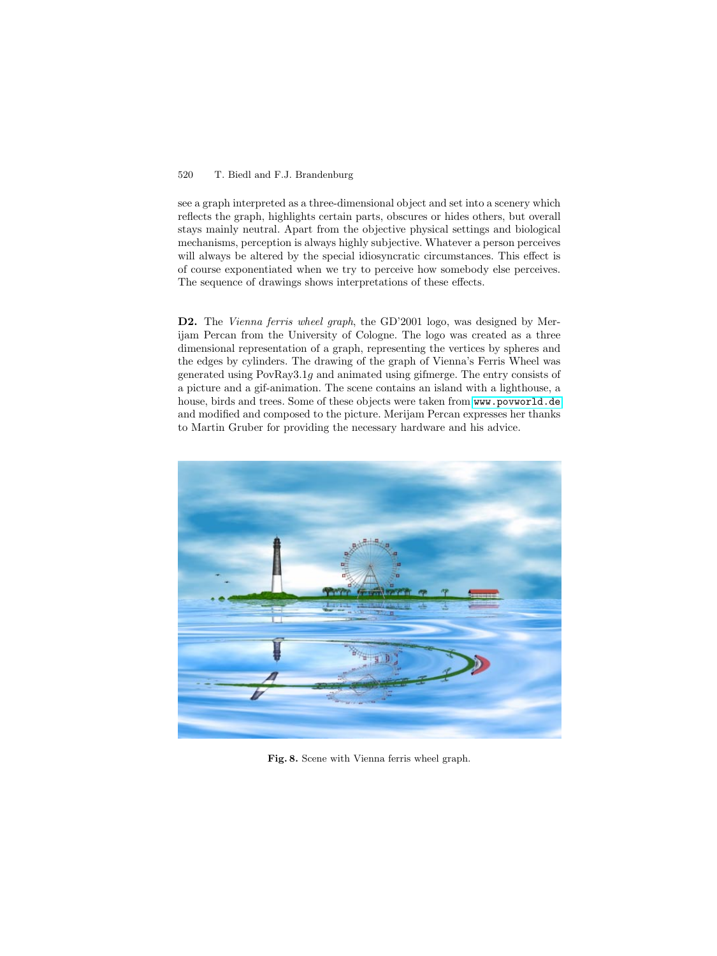# 520 T. Biedl and F.J. Brandenburg

see a graph interpreted as a three-dimensional object and set into a scenery which reflects the graph, highlights certain parts, obscures or hides others, but overall stays mainly neutral. Apart from the objective physical settings and biological mechanisms, perception is always highly subjective. Whatever a person perceives will always be altered by the special idiosyncratic circumstances. This effect is of course exponentiated when we try to perceive how somebody else perceives. The sequence of drawings shows interpretations of these effects.

**D2.** The Vienna ferris wheel graph, the GD'2001 logo, was designed by Merijam Percan from the University of Cologne. The logo was created as a three dimensional representation of a graph, representing the vertices by spheres and the edges by cylinders. The drawing of the graph of Vienna's Ferris Wheel was generated using PovRay3.1g and animated using gifmerge. The entry consists of a picture and a gif-animation. The scene contains an island with a lighthouse, a house, birds and trees. Some of these objects were taken from <www.povworld.de> and modified and composed to the picture. Merijam Percan expresses her thanks to Martin Gruber for providing the necessary hardware and his advice.



**Fig. 8.** Scene with Vienna ferris wheel graph.